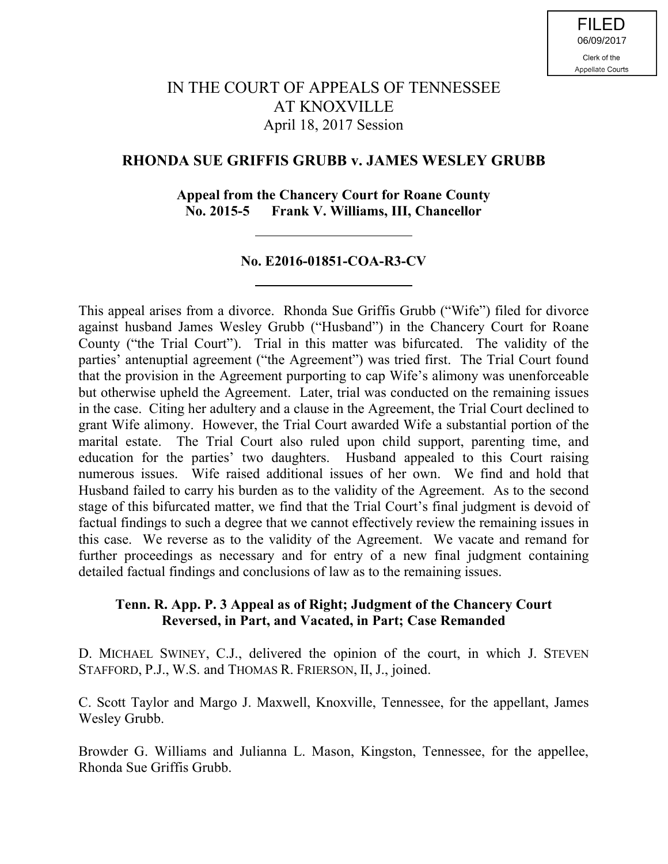# IN THE COURT OF APPEALS OF TENNESSEE AT KNOXVILLE April 18, 2017 Session

# **RHONDA SUE GRIFFIS GRUBB v. JAMES WESLEY GRUBB**

### **Appeal from the Chancery Court for Roane County No. 2015-5 Frank V. Williams, III, Chancellor**

## **No. E2016-01851-COA-R3-CV**

This appeal arises from a divorce. Rhonda Sue Griffis Grubb ("Wife") filed for divorce against husband James Wesley Grubb ("Husband") in the Chancery Court for Roane County ("the Trial Court"). Trial in this matter was bifurcated. The validity of the parties' antenuptial agreement ("the Agreement") was tried first. The Trial Court found that the provision in the Agreement purporting to cap Wife's alimony was unenforceable but otherwise upheld the Agreement. Later, trial was conducted on the remaining issues in the case. Citing her adultery and a clause in the Agreement, the Trial Court declined to grant Wife alimony. However, the Trial Court awarded Wife a substantial portion of the marital estate. The Trial Court also ruled upon child support, parenting time, and education for the parties' two daughters. Husband appealed to this Court raising numerous issues. Wife raised additional issues of her own. We find and hold that Husband failed to carry his burden as to the validity of the Agreement. As to the second stage of this bifurcated matter, we find that the Trial Court's final judgment is devoid of factual findings to such a degree that we cannot effectively review the remaining issues in this case. We reverse as to the validity of the Agreement. We vacate and remand for further proceedings as necessary and for entry of a new final judgment containing detailed factual findings and conclusions of law as to the remaining issues.

### **Tenn. R. App. P. 3 Appeal as of Right; Judgment of the Chancery Court Reversed, in Part, and Vacated, in Part; Case Remanded**

D. MICHAEL SWINEY, C.J., delivered the opinion of the court, in which J. STEVEN STAFFORD, P.J., W.S. and THOMAS R. FRIERSON, II, J., joined.

C. Scott Taylor and Margo J. Maxwell, Knoxville, Tennessee, for the appellant, James Wesley Grubb.

Browder G. Williams and Julianna L. Mason, Kingston, Tennessee, for the appellee, Rhonda Sue Griffis Grubb.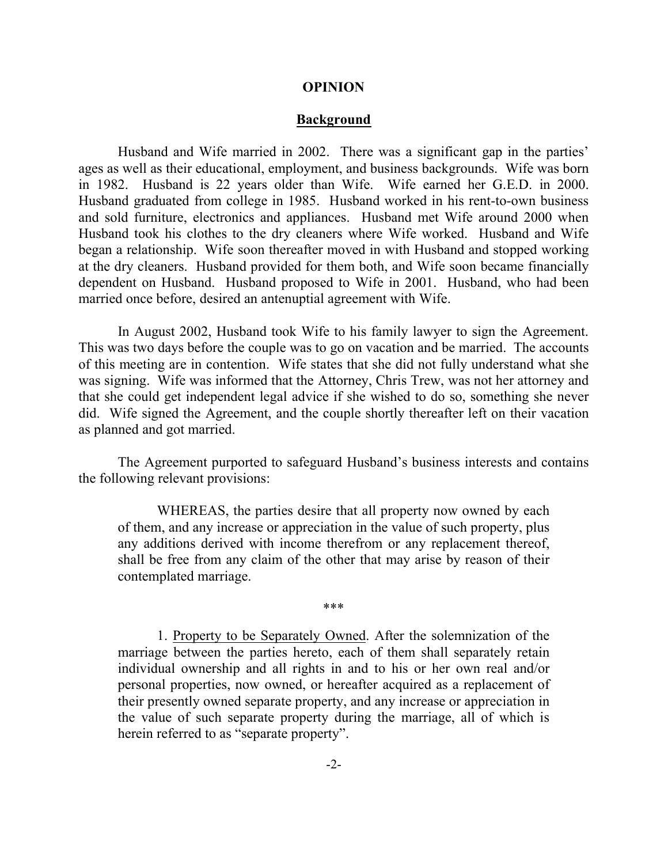#### **OPINION**

#### **Background**

Husband and Wife married in 2002. There was a significant gap in the parties' ages as well as their educational, employment, and business backgrounds. Wife was born in 1982. Husband is 22 years older than Wife. Wife earned her G.E.D. in 2000. Husband graduated from college in 1985. Husband worked in his rent-to-own business and sold furniture, electronics and appliances. Husband met Wife around 2000 when Husband took his clothes to the dry cleaners where Wife worked. Husband and Wife began a relationship. Wife soon thereafter moved in with Husband and stopped working at the dry cleaners. Husband provided for them both, and Wife soon became financially dependent on Husband. Husband proposed to Wife in 2001. Husband, who had been married once before, desired an antenuptial agreement with Wife.

In August 2002, Husband took Wife to his family lawyer to sign the Agreement. This was two days before the couple was to go on vacation and be married. The accounts of this meeting are in contention. Wife states that she did not fully understand what she was signing. Wife was informed that the Attorney, Chris Trew, was not her attorney and that she could get independent legal advice if she wished to do so, something she never did. Wife signed the Agreement, and the couple shortly thereafter left on their vacation as planned and got married.

The Agreement purported to safeguard Husband's business interests and contains the following relevant provisions:

WHEREAS, the parties desire that all property now owned by each of them, and any increase or appreciation in the value of such property, plus any additions derived with income therefrom or any replacement thereof, shall be free from any claim of the other that may arise by reason of their contemplated marriage.

\*\*\*

1. Property to be Separately Owned. After the solemnization of the marriage between the parties hereto, each of them shall separately retain individual ownership and all rights in and to his or her own real and/or personal properties, now owned, or hereafter acquired as a replacement of their presently owned separate property, and any increase or appreciation in the value of such separate property during the marriage, all of which is herein referred to as "separate property".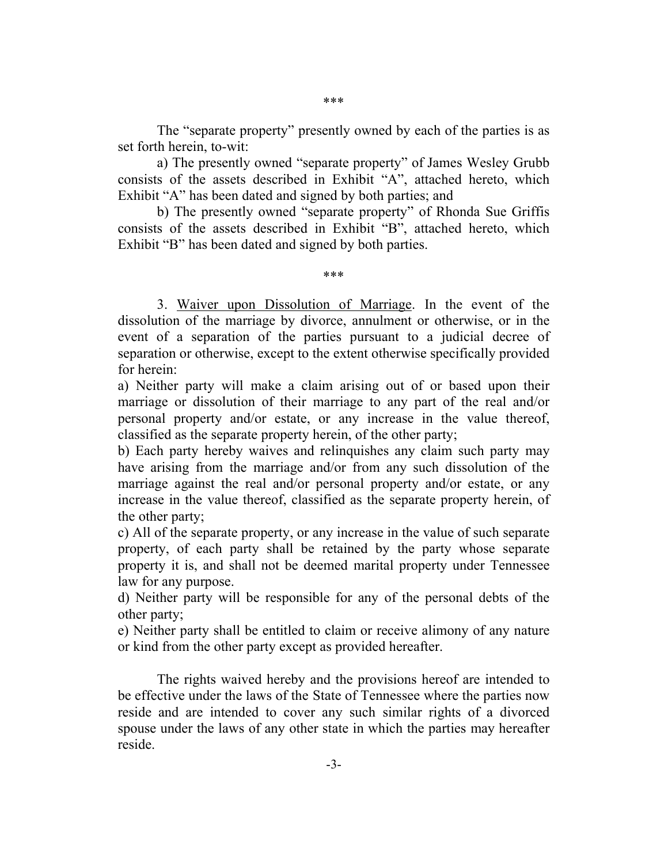The "separate property" presently owned by each of the parties is as set forth herein, to-wit:

a) The presently owned "separate property" of James Wesley Grubb consists of the assets described in Exhibit "A", attached hereto, which Exhibit "A" has been dated and signed by both parties; and

b) The presently owned "separate property" of Rhonda Sue Griffis consists of the assets described in Exhibit "B", attached hereto, which Exhibit "B" has been dated and signed by both parties.

\*\*\*

3. Waiver upon Dissolution of Marriage. In the event of the dissolution of the marriage by divorce, annulment or otherwise, or in the event of a separation of the parties pursuant to a judicial decree of separation or otherwise, except to the extent otherwise specifically provided for herein:

a) Neither party will make a claim arising out of or based upon their marriage or dissolution of their marriage to any part of the real and/or personal property and/or estate, or any increase in the value thereof, classified as the separate property herein, of the other party;

b) Each party hereby waives and relinquishes any claim such party may have arising from the marriage and/or from any such dissolution of the marriage against the real and/or personal property and/or estate, or any increase in the value thereof, classified as the separate property herein, of the other party;

c) All of the separate property, or any increase in the value of such separate property, of each party shall be retained by the party whose separate property it is, and shall not be deemed marital property under Tennessee law for any purpose.

d) Neither party will be responsible for any of the personal debts of the other party;

e) Neither party shall be entitled to claim or receive alimony of any nature or kind from the other party except as provided hereafter.

The rights waived hereby and the provisions hereof are intended to be effective under the laws of the State of Tennessee where the parties now reside and are intended to cover any such similar rights of a divorced spouse under the laws of any other state in which the parties may hereafter reside.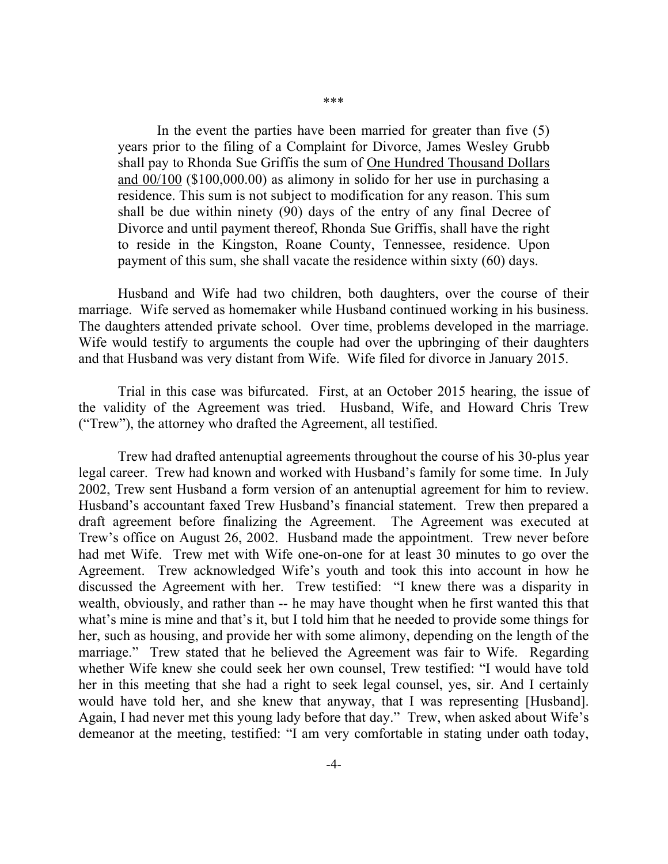In the event the parties have been married for greater than five (5) years prior to the filing of a Complaint for Divorce, James Wesley Grubb shall pay to Rhonda Sue Griffis the sum of One Hundred Thousand Dollars and 00/100 (\$100,000.00) as alimony in solido for her use in purchasing a residence. This sum is not subject to modification for any reason. This sum shall be due within ninety (90) days of the entry of any final Decree of Divorce and until payment thereof, Rhonda Sue Griffis, shall have the right to reside in the Kingston, Roane County, Tennessee, residence. Upon payment of this sum, she shall vacate the residence within sixty (60) days.

Husband and Wife had two children, both daughters, over the course of their marriage. Wife served as homemaker while Husband continued working in his business. The daughters attended private school. Over time, problems developed in the marriage. Wife would testify to arguments the couple had over the upbringing of their daughters and that Husband was very distant from Wife. Wife filed for divorce in January 2015.

Trial in this case was bifurcated. First, at an October 2015 hearing, the issue of the validity of the Agreement was tried. Husband, Wife, and Howard Chris Trew ("Trew"), the attorney who drafted the Agreement, all testified.

Trew had drafted antenuptial agreements throughout the course of his 30-plus year legal career. Trew had known and worked with Husband's family for some time. In July 2002, Trew sent Husband a form version of an antenuptial agreement for him to review. Husband's accountant faxed Trew Husband's financial statement. Trew then prepared a draft agreement before finalizing the Agreement. The Agreement was executed at Trew's office on August 26, 2002. Husband made the appointment. Trew never before had met Wife. Trew met with Wife one-on-one for at least 30 minutes to go over the Agreement. Trew acknowledged Wife's youth and took this into account in how he discussed the Agreement with her. Trew testified: "I knew there was a disparity in wealth, obviously, and rather than -- he may have thought when he first wanted this that what's mine is mine and that's it, but I told him that he needed to provide some things for her, such as housing, and provide her with some alimony, depending on the length of the marriage." Trew stated that he believed the Agreement was fair to Wife. Regarding whether Wife knew she could seek her own counsel, Trew testified: "I would have told her in this meeting that she had a right to seek legal counsel, yes, sir. And I certainly would have told her, and she knew that anyway, that I was representing [Husband]. Again, I had never met this young lady before that day." Trew, when asked about Wife's demeanor at the meeting, testified: "I am very comfortable in stating under oath today,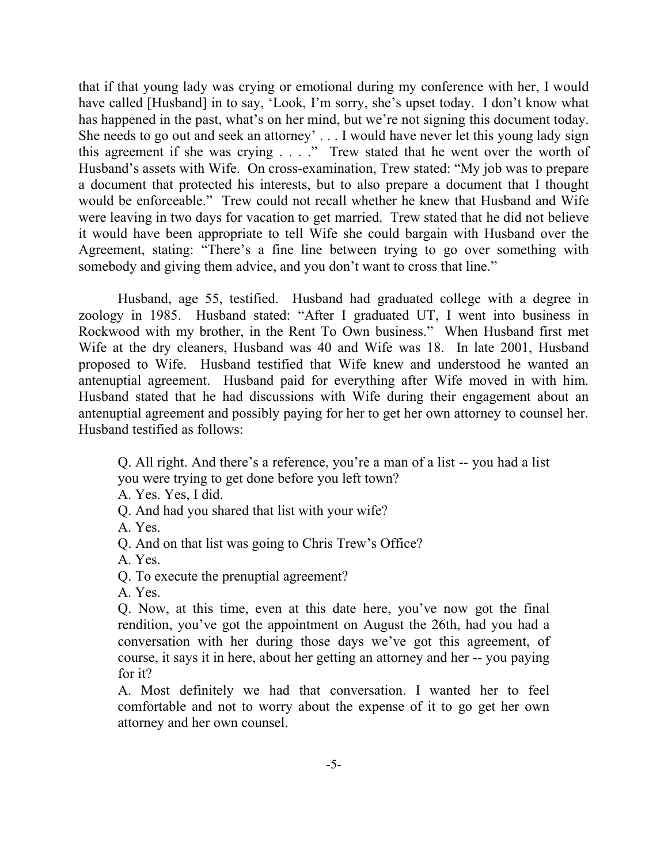that if that young lady was crying or emotional during my conference with her, I would have called [Husband] in to say, 'Look, I'm sorry, she's upset today. I don't know what has happened in the past, what's on her mind, but we're not signing this document today. She needs to go out and seek an attorney' . . . I would have never let this young lady sign this agreement if she was crying . . . ." Trew stated that he went over the worth of Husband's assets with Wife. On cross-examination, Trew stated: "My job was to prepare a document that protected his interests, but to also prepare a document that I thought would be enforceable." Trew could not recall whether he knew that Husband and Wife were leaving in two days for vacation to get married. Trew stated that he did not believe it would have been appropriate to tell Wife she could bargain with Husband over the Agreement, stating: "There's a fine line between trying to go over something with somebody and giving them advice, and you don't want to cross that line."

Husband, age 55, testified. Husband had graduated college with a degree in zoology in 1985. Husband stated: "After I graduated UT, I went into business in Rockwood with my brother, in the Rent To Own business." When Husband first met Wife at the dry cleaners, Husband was 40 and Wife was 18. In late 2001, Husband proposed to Wife. Husband testified that Wife knew and understood he wanted an antenuptial agreement. Husband paid for everything after Wife moved in with him. Husband stated that he had discussions with Wife during their engagement about an antenuptial agreement and possibly paying for her to get her own attorney to counsel her. Husband testified as follows:

Q. All right. And there's a reference, you're a man of a list -- you had a list you were trying to get done before you left town?

A. Yes. Yes, I did.

Q. And had you shared that list with your wife?

A. Yes.

Q. And on that list was going to Chris Trew's Office?

A. Yes.

Q. To execute the prenuptial agreement?

A. Yes.

Q. Now, at this time, even at this date here, you've now got the final rendition, you've got the appointment on August the 26th, had you had a conversation with her during those days we've got this agreement, of course, it says it in here, about her getting an attorney and her -- you paying for it?

A. Most definitely we had that conversation. I wanted her to feel comfortable and not to worry about the expense of it to go get her own attorney and her own counsel.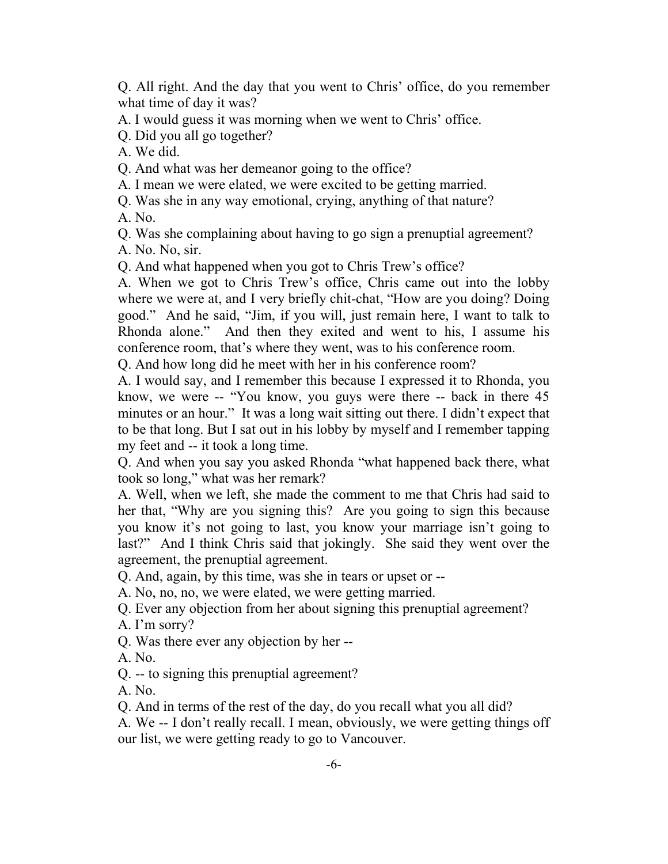Q. All right. And the day that you went to Chris' office, do you remember what time of day it was?

A. I would guess it was morning when we went to Chris' office.

Q. Did you all go together?

A. We did.

Q. And what was her demeanor going to the office?

A. I mean we were elated, we were excited to be getting married.

Q. Was she in any way emotional, crying, anything of that nature?

A. No.

Q. Was she complaining about having to go sign a prenuptial agreement?

A. No. No, sir.

Q. And what happened when you got to Chris Trew's office?

A. When we got to Chris Trew's office, Chris came out into the lobby where we were at, and I very briefly chit-chat, "How are you doing? Doing good." And he said, "Jim, if you will, just remain here, I want to talk to Rhonda alone." And then they exited and went to his, I assume his conference room, that's where they went, was to his conference room.

Q. And how long did he meet with her in his conference room?

A. I would say, and I remember this because I expressed it to Rhonda, you know, we were -- "You know, you guys were there -- back in there 45 minutes or an hour." It was a long wait sitting out there. I didn't expect that to be that long. But I sat out in his lobby by myself and I remember tapping my feet and -- it took a long time.

Q. And when you say you asked Rhonda "what happened back there, what took so long," what was her remark?

A. Well, when we left, she made the comment to me that Chris had said to her that, "Why are you signing this? Are you going to sign this because you know it's not going to last, you know your marriage isn't going to last?" And I think Chris said that jokingly. She said they went over the agreement, the prenuptial agreement.

Q. And, again, by this time, was she in tears or upset or --

A. No, no, no, we were elated, we were getting married.

Q. Ever any objection from her about signing this prenuptial agreement?

A. I'm sorry?

Q. Was there ever any objection by her --

A. No.

Q. -- to signing this prenuptial agreement?

A. No.

Q. And in terms of the rest of the day, do you recall what you all did?

A. We -- I don't really recall. I mean, obviously, we were getting things off our list, we were getting ready to go to Vancouver.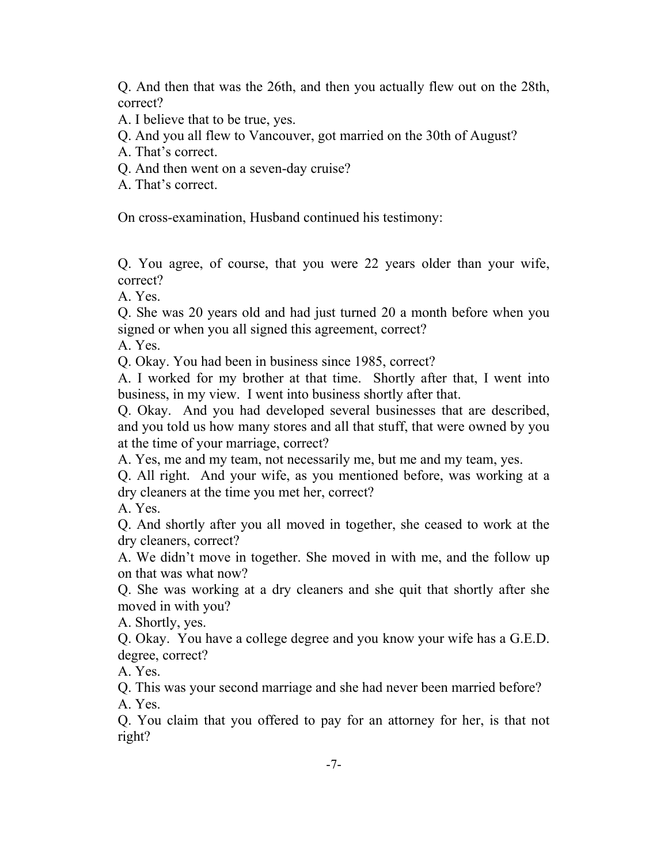Q. And then that was the 26th, and then you actually flew out on the 28th, correct?

A. I believe that to be true, yes.

- Q. And you all flew to Vancouver, got married on the 30th of August?
- A. That's correct.
- Q. And then went on a seven-day cruise?
- A. That's correct.

On cross-examination, Husband continued his testimony:

Q. You agree, of course, that you were 22 years older than your wife, correct?

A. Yes.

Q. She was 20 years old and had just turned 20 a month before when you signed or when you all signed this agreement, correct?

A. Yes.

Q. Okay. You had been in business since 1985, correct?

A. I worked for my brother at that time. Shortly after that, I went into business, in my view. I went into business shortly after that.

Q. Okay. And you had developed several businesses that are described, and you told us how many stores and all that stuff, that were owned by you at the time of your marriage, correct?

A. Yes, me and my team, not necessarily me, but me and my team, yes.

Q. All right. And your wife, as you mentioned before, was working at a dry cleaners at the time you met her, correct?

A. Yes.

Q. And shortly after you all moved in together, she ceased to work at the dry cleaners, correct?

A. We didn't move in together. She moved in with me, and the follow up on that was what now?

Q. She was working at a dry cleaners and she quit that shortly after she moved in with you?

A. Shortly, yes.

Q. Okay. You have a college degree and you know your wife has a G.E.D. degree, correct?

A. Yes.

Q. This was your second marriage and she had never been married before? A. Yes.

Q. You claim that you offered to pay for an attorney for her, is that not right?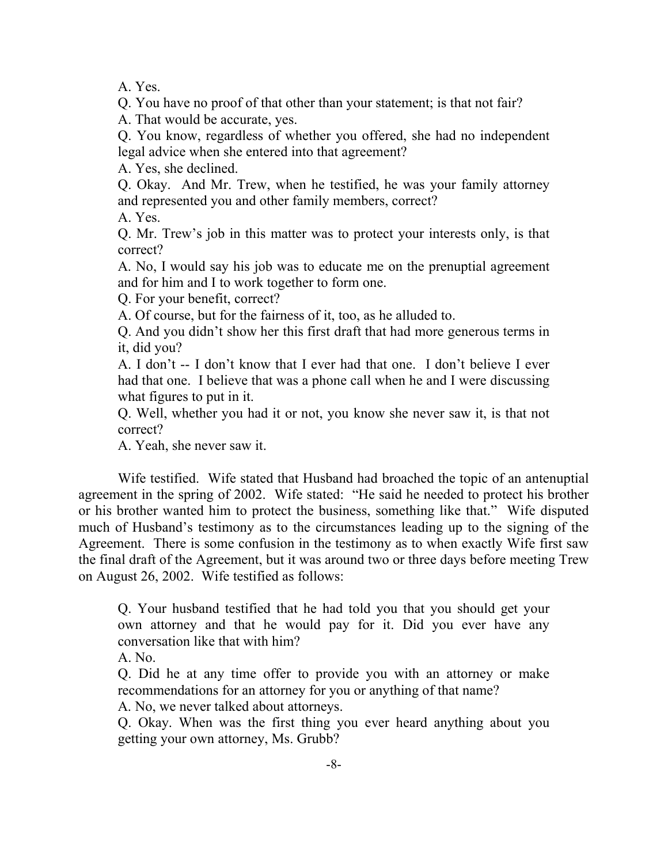A. Yes.

Q. You have no proof of that other than your statement; is that not fair?

A. That would be accurate, yes.

Q. You know, regardless of whether you offered, she had no independent legal advice when she entered into that agreement?

A. Yes, she declined.

Q. Okay. And Mr. Trew, when he testified, he was your family attorney and represented you and other family members, correct?

A. Yes.

Q. Mr. Trew's job in this matter was to protect your interests only, is that correct?

A. No, I would say his job was to educate me on the prenuptial agreement and for him and I to work together to form one.

Q. For your benefit, correct?

A. Of course, but for the fairness of it, too, as he alluded to.

Q. And you didn't show her this first draft that had more generous terms in it, did you?

A. I don't -- I don't know that I ever had that one. I don't believe I ever had that one. I believe that was a phone call when he and I were discussing what figures to put in it.

Q. Well, whether you had it or not, you know she never saw it, is that not correct?

A. Yeah, she never saw it.

Wife testified. Wife stated that Husband had broached the topic of an antenuptial agreement in the spring of 2002. Wife stated: "He said he needed to protect his brother or his brother wanted him to protect the business, something like that." Wife disputed much of Husband's testimony as to the circumstances leading up to the signing of the Agreement. There is some confusion in the testimony as to when exactly Wife first saw the final draft of the Agreement, but it was around two or three days before meeting Trew on August 26, 2002. Wife testified as follows:

Q. Your husband testified that he had told you that you should get your own attorney and that he would pay for it. Did you ever have any conversation like that with him?

A. No.

Q. Did he at any time offer to provide you with an attorney or make recommendations for an attorney for you or anything of that name?

A. No, we never talked about attorneys.

Q. Okay. When was the first thing you ever heard anything about you getting your own attorney, Ms. Grubb?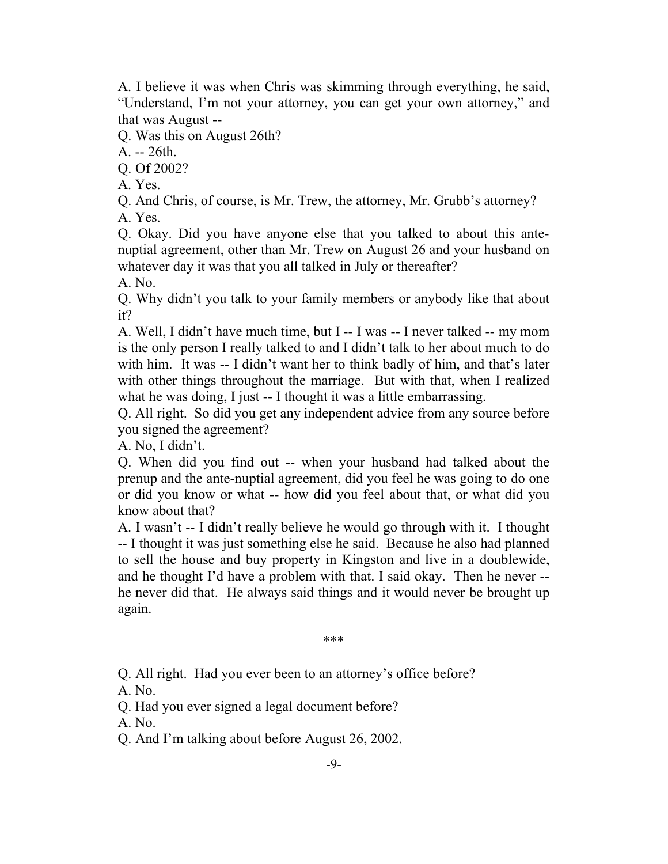A. I believe it was when Chris was skimming through everything, he said, "Understand, I'm not your attorney, you can get your own attorney," and that was August --

Q. Was this on August 26th?

A. -- 26th.

Q. Of 2002?

A. Yes.

Q. And Chris, of course, is Mr. Trew, the attorney, Mr. Grubb's attorney? A. Yes.

Q. Okay. Did you have anyone else that you talked to about this antenuptial agreement, other than Mr. Trew on August 26 and your husband on whatever day it was that you all talked in July or thereafter?

A. No.

Q. Why didn't you talk to your family members or anybody like that about it?

A. Well, I didn't have much time, but I -- I was -- I never talked -- my mom is the only person I really talked to and I didn't talk to her about much to do with him. It was -- I didn't want her to think badly of him, and that's later with other things throughout the marriage. But with that, when I realized what he was doing, I just -- I thought it was a little embarrassing.

Q. All right. So did you get any independent advice from any source before you signed the agreement?

A. No, I didn't.

Q. When did you find out -- when your husband had talked about the prenup and the ante-nuptial agreement, did you feel he was going to do one or did you know or what -- how did you feel about that, or what did you know about that?

A. I wasn't -- I didn't really believe he would go through with it. I thought -- I thought it was just something else he said. Because he also had planned to sell the house and buy property in Kingston and live in a doublewide, and he thought I'd have a problem with that. I said okay. Then he never - he never did that. He always said things and it would never be brought up again.

\*\*\*

Q. All right. Had you ever been to an attorney's office before?

A. No.

Q. Had you ever signed a legal document before?

A. No.

Q. And I'm talking about before August 26, 2002.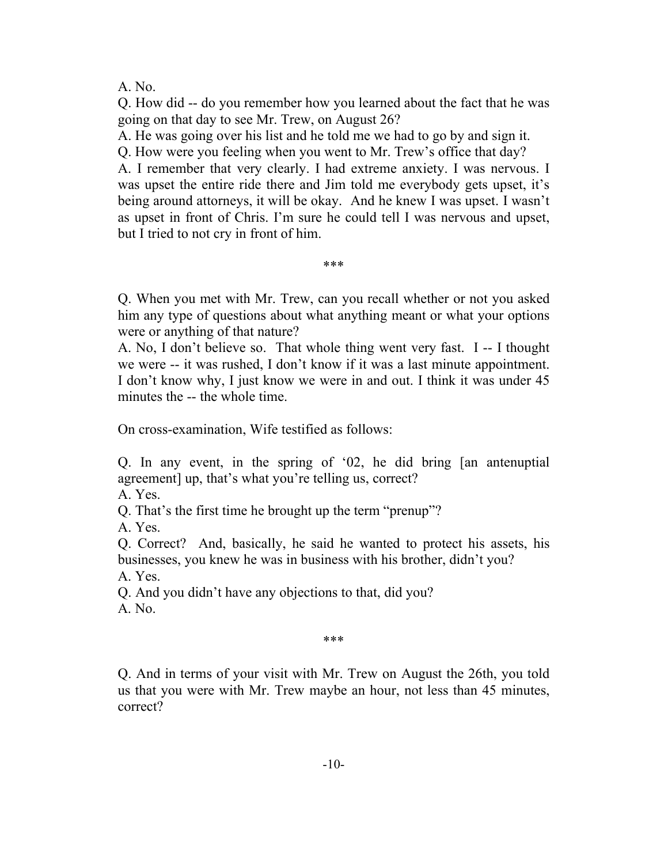A. No.

Q. How did -- do you remember how you learned about the fact that he was going on that day to see Mr. Trew, on August 26?

A. He was going over his list and he told me we had to go by and sign it.

Q. How were you feeling when you went to Mr. Trew's office that day?

A. I remember that very clearly. I had extreme anxiety. I was nervous. I was upset the entire ride there and Jim told me everybody gets upset, it's being around attorneys, it will be okay. And he knew I was upset. I wasn't as upset in front of Chris. I'm sure he could tell I was nervous and upset, but I tried to not cry in front of him.

\*\*\*

Q. When you met with Mr. Trew, can you recall whether or not you asked him any type of questions about what anything meant or what your options were or anything of that nature?

A. No, I don't believe so. That whole thing went very fast. I -- I thought we were -- it was rushed, I don't know if it was a last minute appointment. I don't know why, I just know we were in and out. I think it was under 45 minutes the -- the whole time.

On cross-examination, Wife testified as follows:

Q. In any event, in the spring of '02, he did bring [an antenuptial agreement] up, that's what you're telling us, correct?

A. Yes.

Q. That's the first time he brought up the term "prenup"?

A. Yes.

Q. Correct? And, basically, he said he wanted to protect his assets, his businesses, you knew he was in business with his brother, didn't you?

A. Yes.

Q. And you didn't have any objections to that, did you?

A. No.

\*\*\*

Q. And in terms of your visit with Mr. Trew on August the 26th, you told us that you were with Mr. Trew maybe an hour, not less than 45 minutes, correct?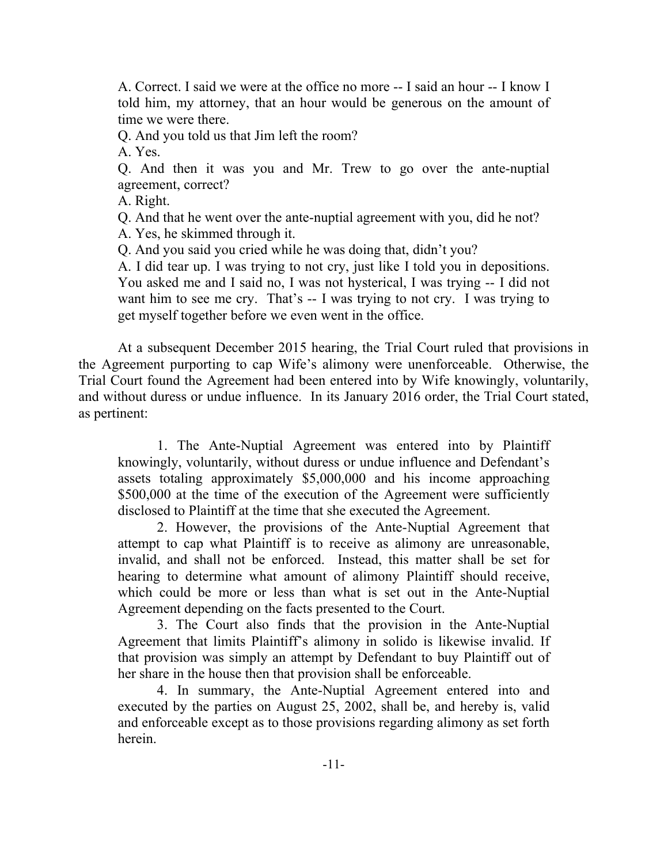A. Correct. I said we were at the office no more -- I said an hour -- I know I told him, my attorney, that an hour would be generous on the amount of time we were there.

Q. And you told us that Jim left the room?

A. Yes.

Q. And then it was you and Mr. Trew to go over the ante-nuptial agreement, correct?

A. Right.

Q. And that he went over the ante-nuptial agreement with you, did he not?

A. Yes, he skimmed through it.

Q. And you said you cried while he was doing that, didn't you?

A. I did tear up. I was trying to not cry, just like I told you in depositions. You asked me and I said no, I was not hysterical, I was trying -- I did not want him to see me cry. That's -- I was trying to not cry. I was trying to get myself together before we even went in the office.

At a subsequent December 2015 hearing, the Trial Court ruled that provisions in the Agreement purporting to cap Wife's alimony were unenforceable. Otherwise, the Trial Court found the Agreement had been entered into by Wife knowingly, voluntarily, and without duress or undue influence. In its January 2016 order, the Trial Court stated, as pertinent:

1. The Ante-Nuptial Agreement was entered into by Plaintiff knowingly, voluntarily, without duress or undue influence and Defendant's assets totaling approximately \$5,000,000 and his income approaching \$500,000 at the time of the execution of the Agreement were sufficiently disclosed to Plaintiff at the time that she executed the Agreement.

2. However, the provisions of the Ante-Nuptial Agreement that attempt to cap what Plaintiff is to receive as alimony are unreasonable, invalid, and shall not be enforced. Instead, this matter shall be set for hearing to determine what amount of alimony Plaintiff should receive, which could be more or less than what is set out in the Ante-Nuptial Agreement depending on the facts presented to the Court.

3. The Court also finds that the provision in the Ante-Nuptial Agreement that limits Plaintiff's alimony in solido is likewise invalid. If that provision was simply an attempt by Defendant to buy Plaintiff out of her share in the house then that provision shall be enforceable.

4. In summary, the Ante-Nuptial Agreement entered into and executed by the parties on August 25, 2002, shall be, and hereby is, valid and enforceable except as to those provisions regarding alimony as set forth herein.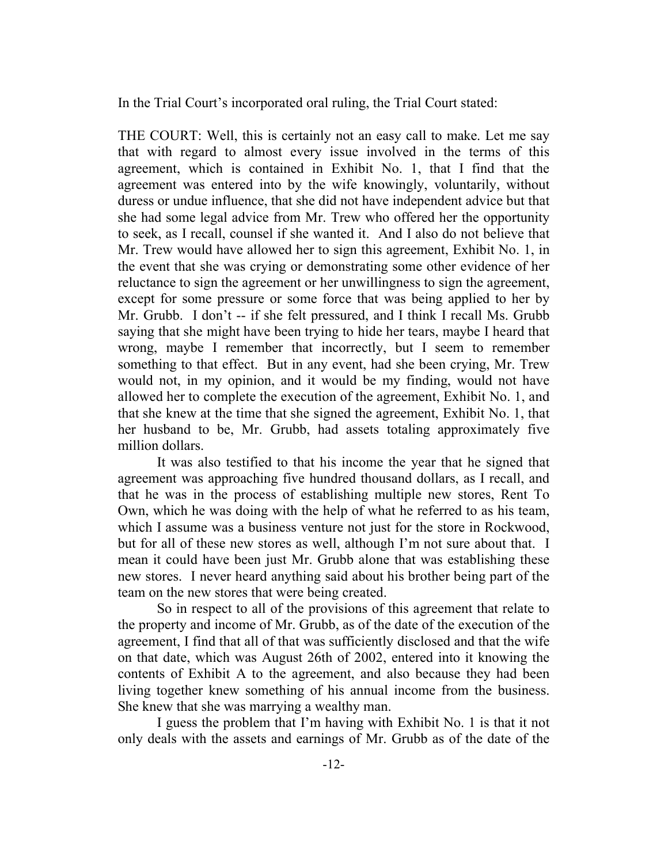In the Trial Court's incorporated oral ruling, the Trial Court stated:

THE COURT: Well, this is certainly not an easy call to make. Let me say that with regard to almost every issue involved in the terms of this agreement, which is contained in Exhibit No. 1, that I find that the agreement was entered into by the wife knowingly, voluntarily, without duress or undue influence, that she did not have independent advice but that she had some legal advice from Mr. Trew who offered her the opportunity to seek, as I recall, counsel if she wanted it. And I also do not believe that Mr. Trew would have allowed her to sign this agreement, Exhibit No. 1, in the event that she was crying or demonstrating some other evidence of her reluctance to sign the agreement or her unwillingness to sign the agreement, except for some pressure or some force that was being applied to her by Mr. Grubb. I don't -- if she felt pressured, and I think I recall Ms. Grubb saying that she might have been trying to hide her tears, maybe I heard that wrong, maybe I remember that incorrectly, but I seem to remember something to that effect. But in any event, had she been crying, Mr. Trew would not, in my opinion, and it would be my finding, would not have allowed her to complete the execution of the agreement, Exhibit No. 1, and that she knew at the time that she signed the agreement, Exhibit No. 1, that her husband to be, Mr. Grubb, had assets totaling approximately five million dollars.

It was also testified to that his income the year that he signed that agreement was approaching five hundred thousand dollars, as I recall, and that he was in the process of establishing multiple new stores, Rent To Own, which he was doing with the help of what he referred to as his team, which I assume was a business venture not just for the store in Rockwood, but for all of these new stores as well, although I'm not sure about that. I mean it could have been just Mr. Grubb alone that was establishing these new stores. I never heard anything said about his brother being part of the team on the new stores that were being created.

So in respect to all of the provisions of this agreement that relate to the property and income of Mr. Grubb, as of the date of the execution of the agreement, I find that all of that was sufficiently disclosed and that the wife on that date, which was August 26th of 2002, entered into it knowing the contents of Exhibit A to the agreement, and also because they had been living together knew something of his annual income from the business. She knew that she was marrying a wealthy man.

I guess the problem that I'm having with Exhibit No. 1 is that it not only deals with the assets and earnings of Mr. Grubb as of the date of the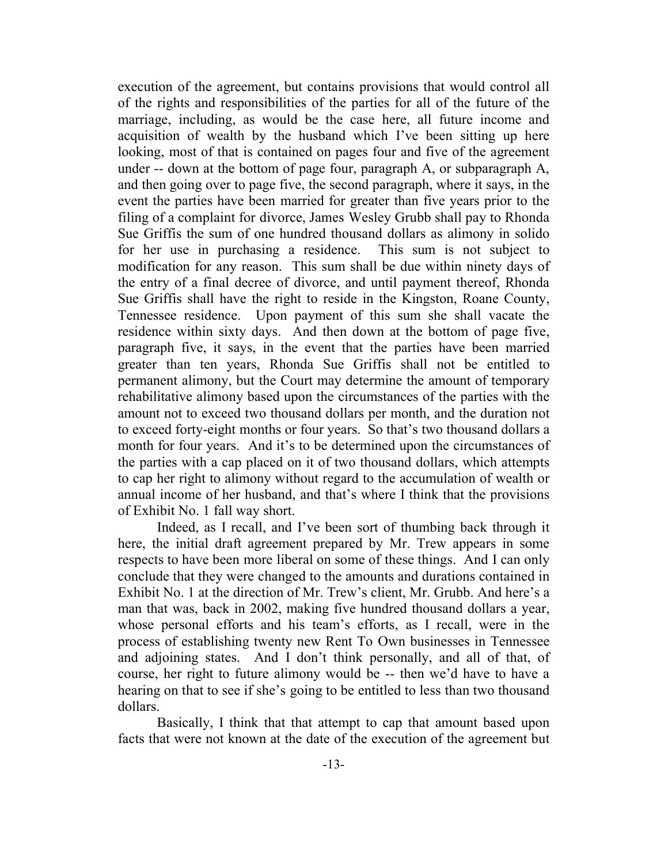execution of the agreement, but contains provisions that would control all of the rights and responsibilities of the parties for all of the future of the marriage, including, as would be the case here, all future income and acquisition of wealth by the husband which I've been sitting up here looking, most of that is contained on pages four and five of the agreement under -- down at the bottom of page four, paragraph A, or subparagraph A, and then going over to page five, the second paragraph, where it says, in the event the parties have been married for greater than five years prior to the filing of a complaint for divorce, James Wesley Grubb shall pay to Rhonda Sue Griffis the sum of one hundred thousand dollars as alimony in solido for her use in purchasing a residence. This sum is not subject to modification for any reason. This sum shall be due within ninety days of the entry of a final decree of divorce, and until payment thereof, Rhonda Sue Griffis shall have the right to reside in the Kingston, Roane County, Tennessee residence. Upon payment of this sum she shall vacate the residence within sixty days. And then down at the bottom of page five, paragraph five, it says, in the event that the parties have been married greater than ten years, Rhonda Sue Griffis shall not be entitled to permanent alimony, but the Court may determine the amount of temporary rehabilitative alimony based upon the circumstances of the parties with the amount not to exceed two thousand dollars per month, and the duration not to exceed forty-eight months or four years. So that's two thousand dollars a month for four years. And it's to be determined upon the circumstances of the parties with a cap placed on it of two thousand dollars, which attempts to cap her right to alimony without regard to the accumulation of wealth or annual income of her husband, and that's where I think that the provisions of Exhibit No. 1 fall way short.

Indeed, as I recall, and I've been sort of thumbing back through it here, the initial draft agreement prepared by Mr. Trew appears in some respects to have been more liberal on some of these things. And I can only conclude that they were changed to the amounts and durations contained in Exhibit No. 1 at the direction of Mr. Trew's client, Mr. Grubb. And here's a man that was, back in 2002, making five hundred thousand dollars a year, whose personal efforts and his team's efforts, as I recall, were in the process of establishing twenty new Rent To Own businesses in Tennessee and adjoining states. And I don't think personally, and all of that, of course, her right to future alimony would be -- then we'd have to have a hearing on that to see if she's going to be entitled to less than two thousand dollars.

Basically, I think that that attempt to cap that amount based upon facts that were not known at the date of the execution of the agreement but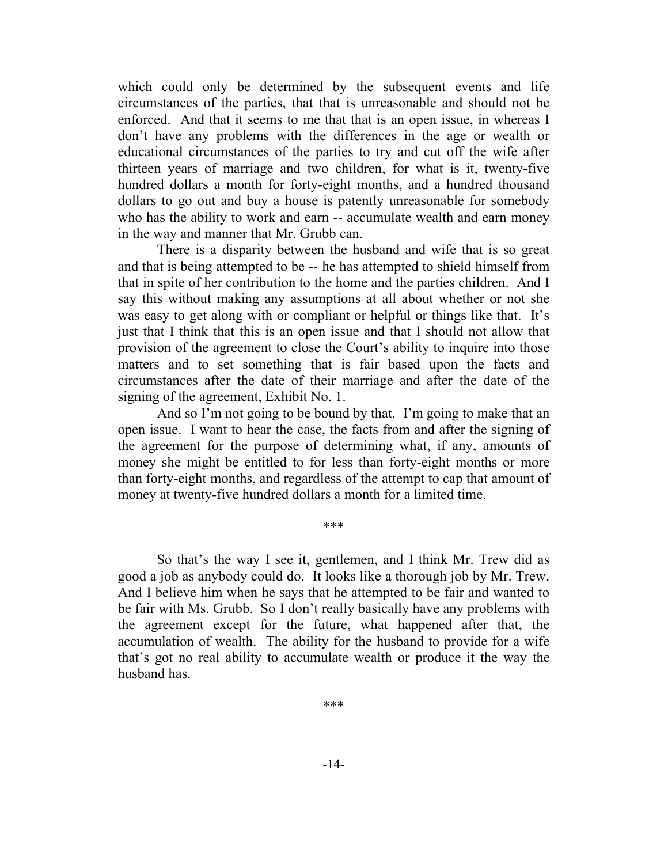which could only be determined by the subsequent events and life circumstances of the parties, that that is unreasonable and should not be enforced. And that it seems to me that that is an open issue, in whereas I don't have any problems with the differences in the age or wealth or educational circumstances of the parties to try and cut off the wife after thirteen years of marriage and two children, for what is it, twenty-five hundred dollars a month for forty-eight months, and a hundred thousand dollars to go out and buy a house is patently unreasonable for somebody who has the ability to work and earn -- accumulate wealth and earn money in the way and manner that Mr. Grubb can.

There is a disparity between the husband and wife that is so great and that is being attempted to be -- he has attempted to shield himself from that in spite of her contribution to the home and the parties children. And I say this without making any assumptions at all about whether or not she was easy to get along with or compliant or helpful or things like that. It's just that I think that this is an open issue and that I should not allow that provision of the agreement to close the Court's ability to inquire into those matters and to set something that is fair based upon the facts and circumstances after the date of their marriage and after the date of the signing of the agreement, Exhibit No. 1.

And so I'm not going to be bound by that. I'm going to make that an open issue. I want to hear the case, the facts from and after the signing of the agreement for the purpose of determining what, if any, amounts of money she might be entitled to for less than forty-eight months or more than forty-eight months, and regardless of the attempt to cap that amount of money at twenty-five hundred dollars a month for a limited time.

\*\*\*

So that's the way I see it, gentlemen, and I think Mr. Trew did as good a job as anybody could do. It looks like a thorough job by Mr. Trew. And I believe him when he says that he attempted to be fair and wanted to be fair with Ms. Grubb. So I don't really basically have any problems with the agreement except for the future, what happened after that, the accumulation of wealth. The ability for the husband to provide for a wife that's got no real ability to accumulate wealth or produce it the way the husband has.

\*\*\*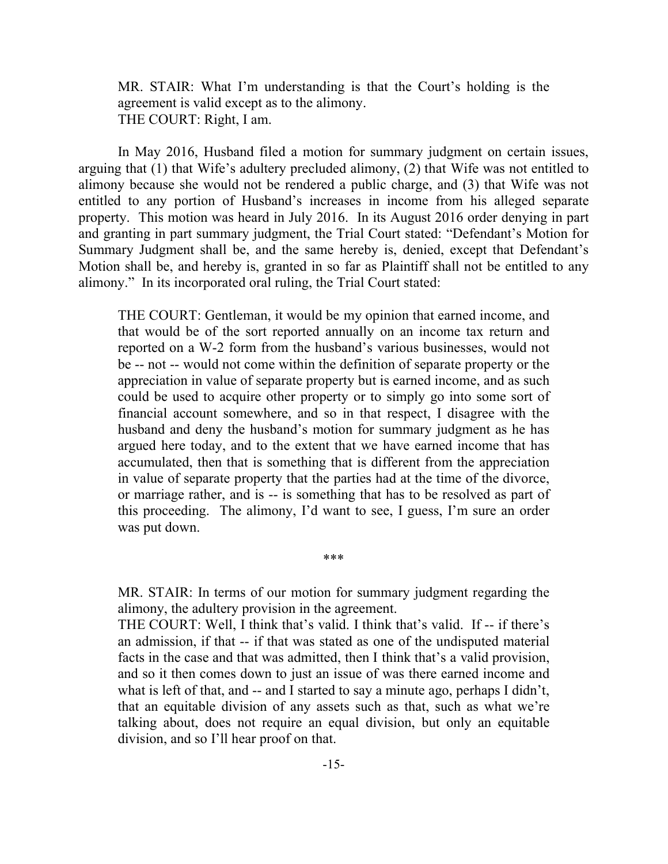MR. STAIR: What I'm understanding is that the Court's holding is the agreement is valid except as to the alimony. THE COURT: Right, I am.

In May 2016, Husband filed a motion for summary judgment on certain issues, arguing that (1) that Wife's adultery precluded alimony, (2) that Wife was not entitled to alimony because she would not be rendered a public charge, and (3) that Wife was not entitled to any portion of Husband's increases in income from his alleged separate property. This motion was heard in July 2016. In its August 2016 order denying in part and granting in part summary judgment, the Trial Court stated: "Defendant's Motion for Summary Judgment shall be, and the same hereby is, denied, except that Defendant's Motion shall be, and hereby is, granted in so far as Plaintiff shall not be entitled to any alimony." In its incorporated oral ruling, the Trial Court stated:

THE COURT: Gentleman, it would be my opinion that earned income, and that would be of the sort reported annually on an income tax return and reported on a W-2 form from the husband's various businesses, would not be -- not -- would not come within the definition of separate property or the appreciation in value of separate property but is earned income, and as such could be used to acquire other property or to simply go into some sort of financial account somewhere, and so in that respect, I disagree with the husband and deny the husband's motion for summary judgment as he has argued here today, and to the extent that we have earned income that has accumulated, then that is something that is different from the appreciation in value of separate property that the parties had at the time of the divorce, or marriage rather, and is -- is something that has to be resolved as part of this proceeding. The alimony, I'd want to see, I guess, I'm sure an order was put down.

MR. STAIR: In terms of our motion for summary judgment regarding the alimony, the adultery provision in the agreement.

\*\*\*

THE COURT: Well, I think that's valid. I think that's valid. If -- if there's an admission, if that -- if that was stated as one of the undisputed material facts in the case and that was admitted, then I think that's a valid provision, and so it then comes down to just an issue of was there earned income and what is left of that, and -- and I started to say a minute ago, perhaps I didn't, that an equitable division of any assets such as that, such as what we're talking about, does not require an equal division, but only an equitable division, and so I'll hear proof on that.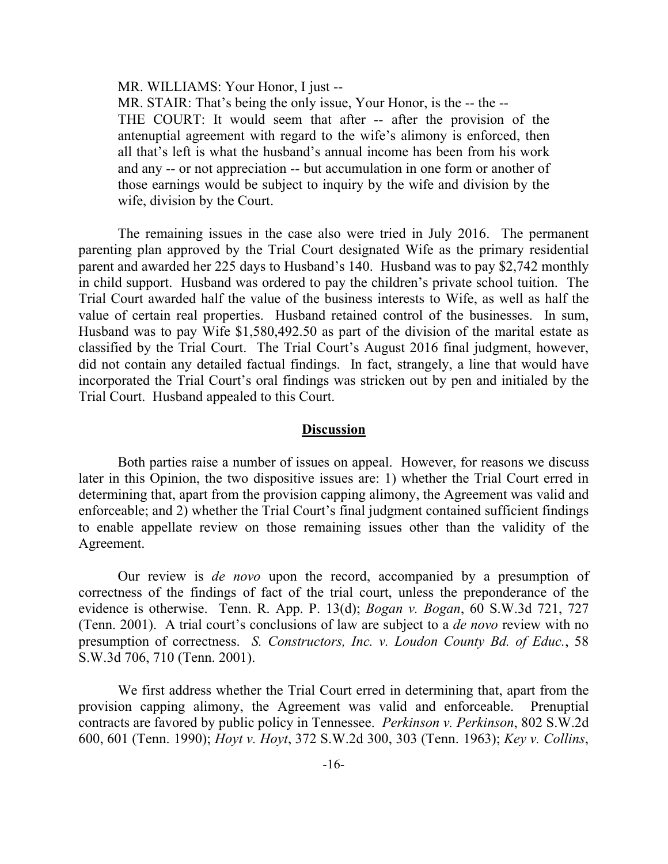MR. WILLIAMS: Your Honor, I just --

MR. STAIR: That's being the only issue, Your Honor, is the -- the --THE COURT: It would seem that after -- after the provision of the antenuptial agreement with regard to the wife's alimony is enforced, then all that's left is what the husband's annual income has been from his work and any -- or not appreciation -- but accumulation in one form or another of those earnings would be subject to inquiry by the wife and division by the wife, division by the Court.

The remaining issues in the case also were tried in July 2016. The permanent parenting plan approved by the Trial Court designated Wife as the primary residential parent and awarded her 225 days to Husband's 140. Husband was to pay \$2,742 monthly in child support. Husband was ordered to pay the children's private school tuition. The Trial Court awarded half the value of the business interests to Wife, as well as half the value of certain real properties. Husband retained control of the businesses. In sum, Husband was to pay Wife \$1,580,492.50 as part of the division of the marital estate as classified by the Trial Court. The Trial Court's August 2016 final judgment, however, did not contain any detailed factual findings. In fact, strangely, a line that would have incorporated the Trial Court's oral findings was stricken out by pen and initialed by the Trial Court. Husband appealed to this Court.

#### **Discussion**

Both parties raise a number of issues on appeal. However, for reasons we discuss later in this Opinion, the two dispositive issues are: 1) whether the Trial Court erred in determining that, apart from the provision capping alimony, the Agreement was valid and enforceable; and 2) whether the Trial Court's final judgment contained sufficient findings to enable appellate review on those remaining issues other than the validity of the Agreement.

Our review is *de novo* upon the record, accompanied by a presumption of correctness of the findings of fact of the trial court, unless the preponderance of the evidence is otherwise. Tenn. R. App. P. 13(d); *Bogan v. Bogan*, 60 S.W.3d 721, 727 (Tenn. 2001). A trial court's conclusions of law are subject to a *de novo* review with no presumption of correctness. *S. Constructors, Inc. v. Loudon County Bd. of Educ.*, 58 S.W.3d 706, 710 (Tenn. 2001).

We first address whether the Trial Court erred in determining that, apart from the provision capping alimony, the Agreement was valid and enforceable. Prenuptial contracts are favored by public policy in Tennessee. *Perkinson v. Perkinson*, 802 S.W.2d 600, 601 (Tenn. 1990); *Hoyt v. Hoyt*, 372 S.W.2d 300, 303 (Tenn. 1963); *Key v. Collins*,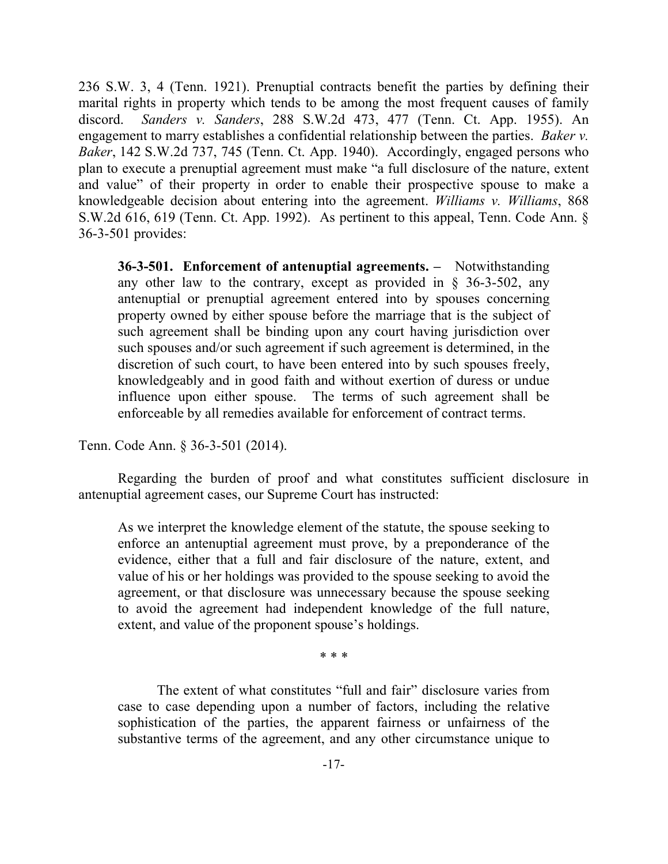236 S.W. 3, 4 (Tenn. 1921). Prenuptial contracts benefit the parties by defining their marital rights in property which tends to be among the most frequent causes of family discord. *Sanders v. Sanders*, 288 S.W.2d 473, 477 (Tenn. Ct. App. 1955). An engagement to marry establishes a confidential relationship between the parties. *Baker v. Baker*, 142 S.W.2d 737, 745 (Tenn. Ct. App. 1940). Accordingly, engaged persons who plan to execute a prenuptial agreement must make "a full disclosure of the nature, extent and value" of their property in order to enable their prospective spouse to make a knowledgeable decision about entering into the agreement. *Williams v. Williams*, 868 S.W.2d 616, 619 (Tenn. Ct. App. 1992). As pertinent to this appeal, Tenn. Code Ann. § 36-3-501 provides:

**36-3-501. Enforcement of antenuptial agreements. –** Notwithstanding any other law to the contrary, except as provided in § 36-3-502, any antenuptial or prenuptial agreement entered into by spouses concerning property owned by either spouse before the marriage that is the subject of such agreement shall be binding upon any court having jurisdiction over such spouses and/or such agreement if such agreement is determined, in the discretion of such court, to have been entered into by such spouses freely, knowledgeably and in good faith and without exertion of duress or undue influence upon either spouse. The terms of such agreement shall be enforceable by all remedies available for enforcement of contract terms.

Tenn. Code Ann. § 36-3-501 (2014).

Regarding the burden of proof and what constitutes sufficient disclosure in antenuptial agreement cases, our Supreme Court has instructed:

As we interpret the knowledge element of the statute, the spouse seeking to enforce an antenuptial agreement must prove, by a preponderance of the evidence, either that a full and fair disclosure of the nature, extent, and value of his or her holdings was provided to the spouse seeking to avoid the agreement, or that disclosure was unnecessary because the spouse seeking to avoid the agreement had independent knowledge of the full nature, extent, and value of the proponent spouse's holdings.

\* \* \*

The extent of what constitutes "full and fair" disclosure varies from case to case depending upon a number of factors, including the relative sophistication of the parties, the apparent fairness or unfairness of the substantive terms of the agreement, and any other circumstance unique to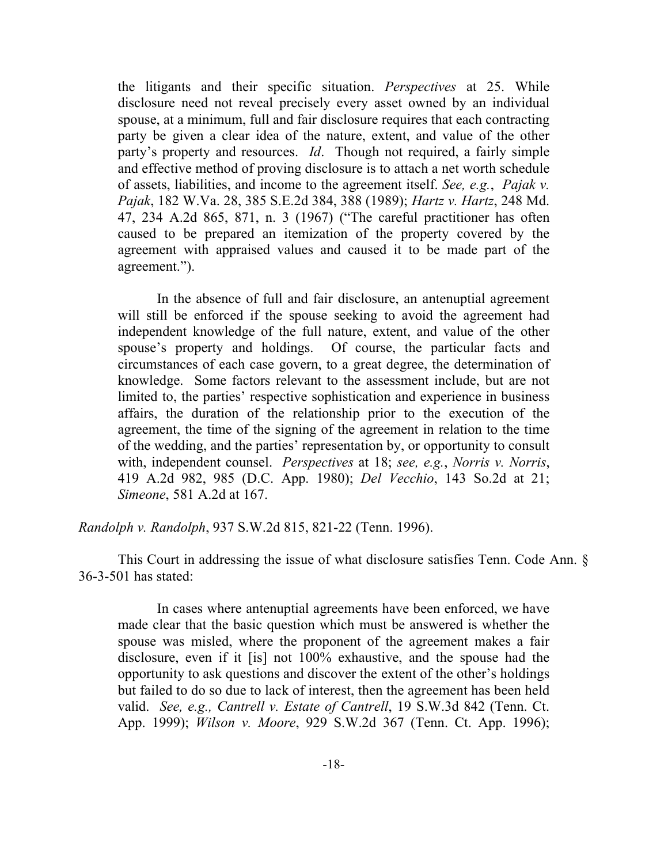the litigants and their specific situation. *Perspectives* at 25. While disclosure need not reveal precisely every asset owned by an individual spouse, at a minimum, full and fair disclosure requires that each contracting party be given a clear idea of the nature, extent, and value of the other party's property and resources. *Id*. Though not required, a fairly simple and effective method of proving disclosure is to attach a net worth schedule of assets, liabilities, and income to the agreement itself. *See, e.g.*, *Pajak v. Pajak*, 182 W.Va. 28, 385 S.E.2d 384, 388 (1989); *Hartz v. Hartz*, 248 Md. 47, 234 A.2d 865, 871, n. 3 (1967) ("The careful practitioner has often caused to be prepared an itemization of the property covered by the agreement with appraised values and caused it to be made part of the agreement.").

In the absence of full and fair disclosure, an antenuptial agreement will still be enforced if the spouse seeking to avoid the agreement had independent knowledge of the full nature, extent, and value of the other spouse's property and holdings. Of course, the particular facts and circumstances of each case govern, to a great degree, the determination of knowledge. Some factors relevant to the assessment include, but are not limited to, the parties' respective sophistication and experience in business affairs, the duration of the relationship prior to the execution of the agreement, the time of the signing of the agreement in relation to the time of the wedding, and the parties' representation by, or opportunity to consult with, independent counsel. *Perspectives* at 18; *see, e.g.*, *Norris v. Norris*, 419 A.2d 982, 985 (D.C. App. 1980); *Del Vecchio*, 143 So.2d at 21; *Simeone*, 581 A.2d at 167.

*Randolph v. Randolph*, 937 S.W.2d 815, 821-22 (Tenn. 1996).

This Court in addressing the issue of what disclosure satisfies Tenn. Code Ann. § 36-3-501 has stated:

In cases where antenuptial agreements have been enforced, we have made clear that the basic question which must be answered is whether the spouse was misled, where the proponent of the agreement makes a fair disclosure, even if it [is] not 100% exhaustive, and the spouse had the opportunity to ask questions and discover the extent of the other's holdings but failed to do so due to lack of interest, then the agreement has been held valid. *See, e.g., Cantrell v. Estate of Cantrell*, 19 S.W.3d 842 (Tenn. Ct. App. 1999); *Wilson v. Moore*, 929 S.W.2d 367 (Tenn. Ct. App. 1996);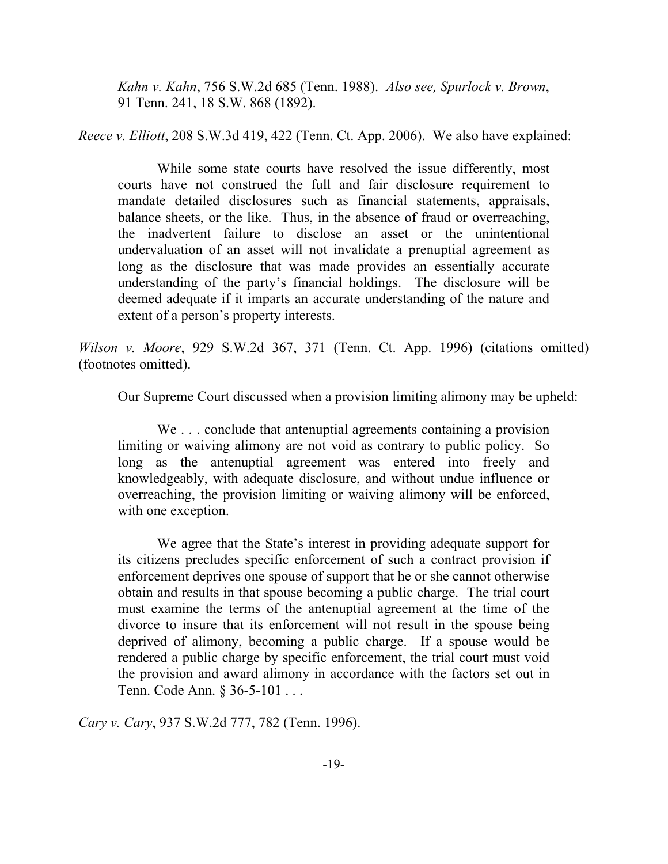*Kahn v. Kahn*, 756 S.W.2d 685 (Tenn. 1988). *Also see, Spurlock v. Brown*, 91 Tenn. 241, 18 S.W. 868 (1892).

*Reece v. Elliott*, 208 S.W.3d 419, 422 (Tenn. Ct. App. 2006). We also have explained:

While some state courts have resolved the issue differently, most courts have not construed the full and fair disclosure requirement to mandate detailed disclosures such as financial statements, appraisals, balance sheets, or the like. Thus, in the absence of fraud or overreaching, the inadvertent failure to disclose an asset or the unintentional undervaluation of an asset will not invalidate a prenuptial agreement as long as the disclosure that was made provides an essentially accurate understanding of the party's financial holdings. The disclosure will be deemed adequate if it imparts an accurate understanding of the nature and extent of a person's property interests.

*Wilson v. Moore*, 929 S.W.2d 367, 371 (Tenn. Ct. App. 1996) (citations omitted) (footnotes omitted).

Our Supreme Court discussed when a provision limiting alimony may be upheld:

We . . . conclude that antenuptial agreements containing a provision limiting or waiving alimony are not void as contrary to public policy. So long as the antenuptial agreement was entered into freely and knowledgeably, with adequate disclosure, and without undue influence or overreaching, the provision limiting or waiving alimony will be enforced, with one exception.

We agree that the State's interest in providing adequate support for its citizens precludes specific enforcement of such a contract provision if enforcement deprives one spouse of support that he or she cannot otherwise obtain and results in that spouse becoming a public charge. The trial court must examine the terms of the antenuptial agreement at the time of the divorce to insure that its enforcement will not result in the spouse being deprived of alimony, becoming a public charge. If a spouse would be rendered a public charge by specific enforcement, the trial court must void the provision and award alimony in accordance with the factors set out in Tenn. Code Ann. § 36-5-101 . . .

*Cary v. Cary*, 937 S.W.2d 777, 782 (Tenn. 1996).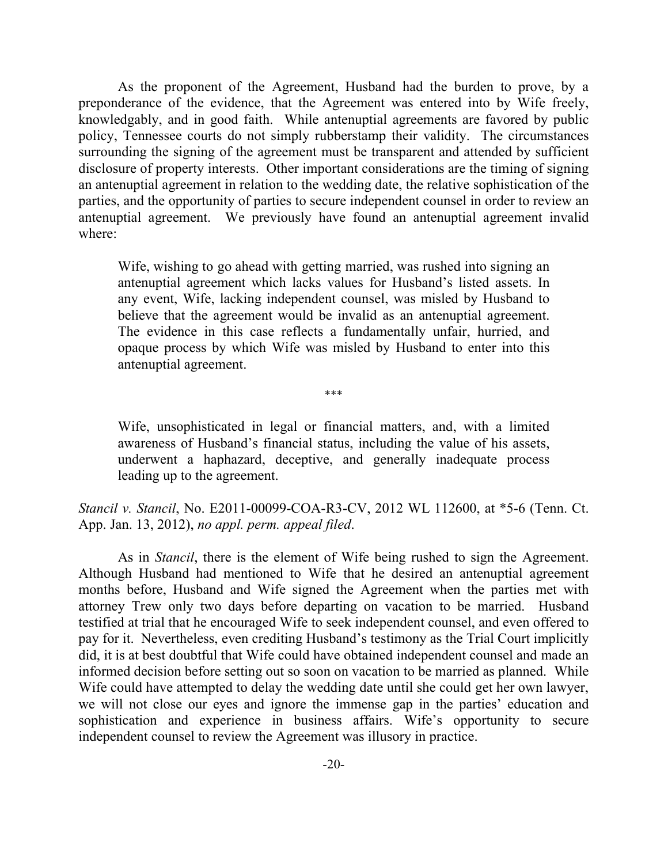As the proponent of the Agreement, Husband had the burden to prove, by a preponderance of the evidence, that the Agreement was entered into by Wife freely, knowledgably, and in good faith. While antenuptial agreements are favored by public policy, Tennessee courts do not simply rubberstamp their validity. The circumstances surrounding the signing of the agreement must be transparent and attended by sufficient disclosure of property interests. Other important considerations are the timing of signing an antenuptial agreement in relation to the wedding date, the relative sophistication of the parties, and the opportunity of parties to secure independent counsel in order to review an antenuptial agreement. We previously have found an antenuptial agreement invalid where:

Wife, wishing to go ahead with getting married, was rushed into signing an antenuptial agreement which lacks values for Husband's listed assets. In any event, Wife, lacking independent counsel, was misled by Husband to believe that the agreement would be invalid as an antenuptial agreement. The evidence in this case reflects a fundamentally unfair, hurried, and opaque process by which Wife was misled by Husband to enter into this antenuptial agreement.

\*\*\*

Wife, unsophisticated in legal or financial matters, and, with a limited awareness of Husband's financial status, including the value of his assets, underwent a haphazard, deceptive, and generally inadequate process leading up to the agreement.

*Stancil v. Stancil*, No. E2011-00099-COA-R3-CV, 2012 WL 112600, at \*5-6 (Tenn. Ct. App. Jan. 13, 2012), *no appl. perm. appeal filed*.

As in *Stancil*, there is the element of Wife being rushed to sign the Agreement. Although Husband had mentioned to Wife that he desired an antenuptial agreement months before, Husband and Wife signed the Agreement when the parties met with attorney Trew only two days before departing on vacation to be married. Husband testified at trial that he encouraged Wife to seek independent counsel, and even offered to pay for it. Nevertheless, even crediting Husband's testimony as the Trial Court implicitly did, it is at best doubtful that Wife could have obtained independent counsel and made an informed decision before setting out so soon on vacation to be married as planned. While Wife could have attempted to delay the wedding date until she could get her own lawyer, we will not close our eyes and ignore the immense gap in the parties' education and sophistication and experience in business affairs. Wife's opportunity to secure independent counsel to review the Agreement was illusory in practice.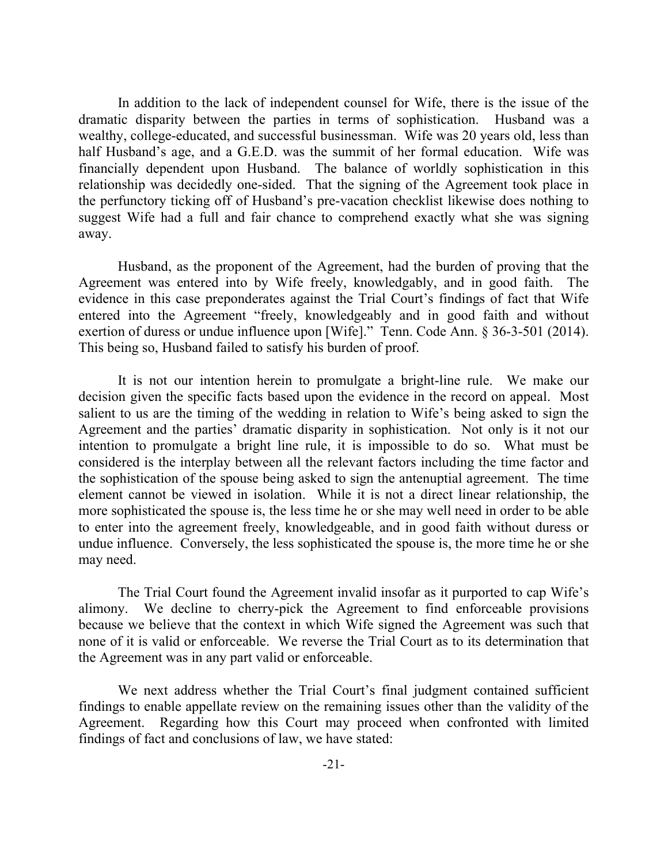In addition to the lack of independent counsel for Wife, there is the issue of the dramatic disparity between the parties in terms of sophistication. Husband was a wealthy, college-educated, and successful businessman. Wife was 20 years old, less than half Husband's age, and a G.E.D. was the summit of her formal education. Wife was financially dependent upon Husband. The balance of worldly sophistication in this relationship was decidedly one-sided. That the signing of the Agreement took place in the perfunctory ticking off of Husband's pre-vacation checklist likewise does nothing to suggest Wife had a full and fair chance to comprehend exactly what she was signing away.

Husband, as the proponent of the Agreement, had the burden of proving that the Agreement was entered into by Wife freely, knowledgably, and in good faith. The evidence in this case preponderates against the Trial Court's findings of fact that Wife entered into the Agreement "freely, knowledgeably and in good faith and without exertion of duress or undue influence upon [Wife]." Tenn. Code Ann. § 36-3-501 (2014). This being so, Husband failed to satisfy his burden of proof.

It is not our intention herein to promulgate a bright-line rule. We make our decision given the specific facts based upon the evidence in the record on appeal. Most salient to us are the timing of the wedding in relation to Wife's being asked to sign the Agreement and the parties' dramatic disparity in sophistication. Not only is it not our intention to promulgate a bright line rule, it is impossible to do so. What must be considered is the interplay between all the relevant factors including the time factor and the sophistication of the spouse being asked to sign the antenuptial agreement. The time element cannot be viewed in isolation. While it is not a direct linear relationship, the more sophisticated the spouse is, the less time he or she may well need in order to be able to enter into the agreement freely, knowledgeable, and in good faith without duress or undue influence. Conversely, the less sophisticated the spouse is, the more time he or she may need.

The Trial Court found the Agreement invalid insofar as it purported to cap Wife's alimony. We decline to cherry-pick the Agreement to find enforceable provisions because we believe that the context in which Wife signed the Agreement was such that none of it is valid or enforceable. We reverse the Trial Court as to its determination that the Agreement was in any part valid or enforceable.

We next address whether the Trial Court's final judgment contained sufficient findings to enable appellate review on the remaining issues other than the validity of the Agreement. Regarding how this Court may proceed when confronted with limited findings of fact and conclusions of law, we have stated: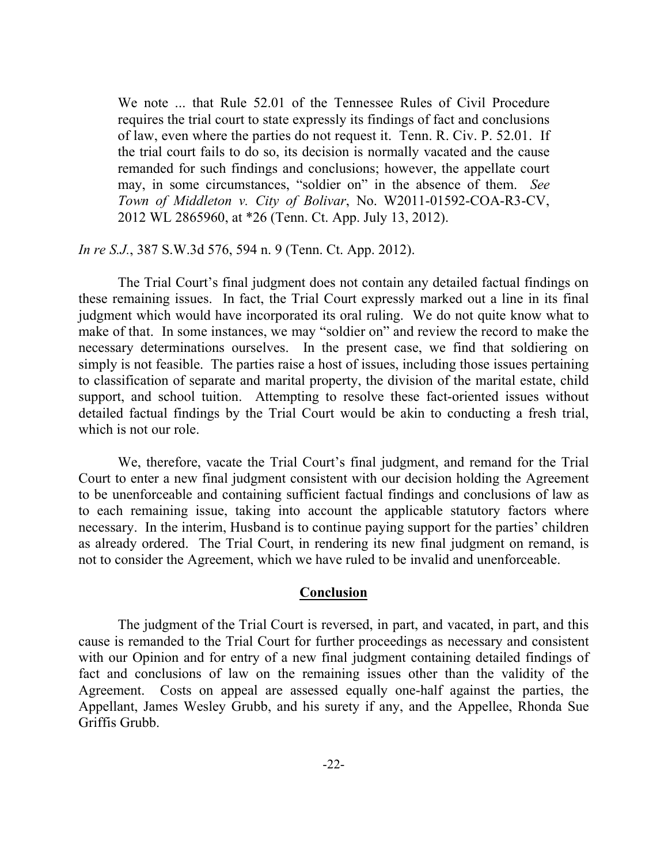We note ... that Rule 52.01 of the Tennessee Rules of Civil Procedure requires the trial court to state expressly its findings of fact and conclusions of law, even where the parties do not request it. Tenn. R. Civ. P. 52.01. If the trial court fails to do so, its decision is normally vacated and the cause remanded for such findings and conclusions; however, the appellate court may, in some circumstances, "soldier on" in the absence of them. *See Town of Middleton v. City of Bolivar*, No. W2011-01592-COA-R3-CV, 2012 WL 2865960, at \*26 (Tenn. Ct. App. July 13, 2012).

*In re S.J.*, 387 S.W.3d 576, 594 n. 9 (Tenn. Ct. App. 2012).

The Trial Court's final judgment does not contain any detailed factual findings on these remaining issues. In fact, the Trial Court expressly marked out a line in its final judgment which would have incorporated its oral ruling. We do not quite know what to make of that. In some instances, we may "soldier on" and review the record to make the necessary determinations ourselves. In the present case, we find that soldiering on simply is not feasible. The parties raise a host of issues, including those issues pertaining to classification of separate and marital property, the division of the marital estate, child support, and school tuition. Attempting to resolve these fact-oriented issues without detailed factual findings by the Trial Court would be akin to conducting a fresh trial, which is not our role.

We, therefore, vacate the Trial Court's final judgment, and remand for the Trial Court to enter a new final judgment consistent with our decision holding the Agreement to be unenforceable and containing sufficient factual findings and conclusions of law as to each remaining issue, taking into account the applicable statutory factors where necessary. In the interim, Husband is to continue paying support for the parties' children as already ordered. The Trial Court, in rendering its new final judgment on remand, is not to consider the Agreement, which we have ruled to be invalid and unenforceable.

#### **Conclusion**

The judgment of the Trial Court is reversed, in part, and vacated, in part, and this cause is remanded to the Trial Court for further proceedings as necessary and consistent with our Opinion and for entry of a new final judgment containing detailed findings of fact and conclusions of law on the remaining issues other than the validity of the Agreement. Costs on appeal are assessed equally one-half against the parties, the Appellant, James Wesley Grubb, and his surety if any, and the Appellee, Rhonda Sue Griffis Grubb.